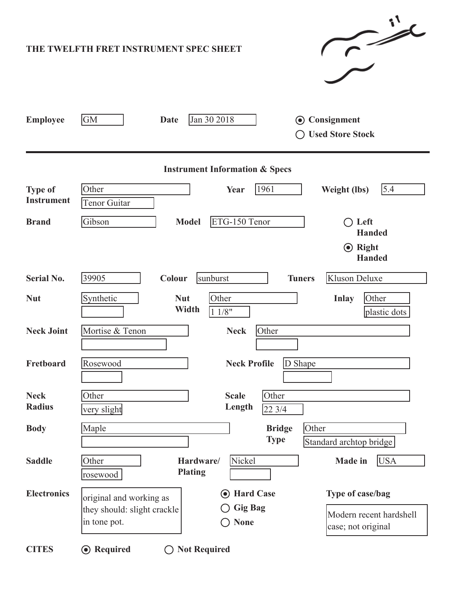| $\sim$<br>THE TWELFTH FRET INSTRUMENT SPEC SHEET |                                                                                                                               |  |  |  |  |  |  |
|--------------------------------------------------|-------------------------------------------------------------------------------------------------------------------------------|--|--|--|--|--|--|
| <b>Employee</b>                                  | GM<br>Jan 30 2018<br>Consignment<br><b>Date</b><br>$\odot$<br><b>Used Store Stock</b>                                         |  |  |  |  |  |  |
| <b>Instrument Information &amp; Specs</b>        |                                                                                                                               |  |  |  |  |  |  |
| <b>Type of</b><br><b>Instrument</b>              | 1961<br>5.4<br>Other<br>Year<br><b>Weight (lbs)</b><br>Tenor Guitar                                                           |  |  |  |  |  |  |
| <b>Brand</b>                                     | ETG-150 Tenor<br>Gibson<br><b>Model</b><br>Left<br><b>Handed</b>                                                              |  |  |  |  |  |  |
|                                                  | $\odot$ Right<br><b>Handed</b>                                                                                                |  |  |  |  |  |  |
| <b>Serial No.</b>                                | 39905<br>Kluson Deluxe<br>Colour<br>sunburst<br><b>Tuners</b>                                                                 |  |  |  |  |  |  |
| <b>Nut</b>                                       | Synthetic<br><b>Nut</b><br>Other<br><b>Inlay</b><br>Other<br>Width<br>11/8"<br>plastic dots                                   |  |  |  |  |  |  |
| <b>Neck Joint</b>                                | Mortise & Tenon<br>Other<br><b>Neck</b>                                                                                       |  |  |  |  |  |  |
| Fretboard                                        | D Shape<br>Rosewood<br><b>Neck Profile</b>                                                                                    |  |  |  |  |  |  |
| <b>Neck</b><br><b>Radius</b>                     | Other<br>Other<br><b>Scale</b><br>Length<br>22 3/4<br>very slight                                                             |  |  |  |  |  |  |
| <b>Body</b>                                      | Maple<br>Other<br><b>Bridge</b><br><b>Type</b><br>Standard archtop bridge                                                     |  |  |  |  |  |  |
| <b>Saddle</b>                                    | Nickel<br>Other<br><b>USA</b><br>Hardware/<br><b>Made in</b><br><b>Plating</b><br>rosewood                                    |  |  |  |  |  |  |
| <b>Electronics</b>                               | Type of case/bag<br><b>Hard Case</b><br>$\left( \bullet \right)$<br>original and working as                                   |  |  |  |  |  |  |
|                                                  | <b>Gig Bag</b><br>they should: slight crackle<br>Modern recent hardshell<br>in tone pot.<br><b>None</b><br>case; not original |  |  |  |  |  |  |
| <b>CITES</b>                                     | <b>⊙</b> Required<br><b>Not Required</b>                                                                                      |  |  |  |  |  |  |